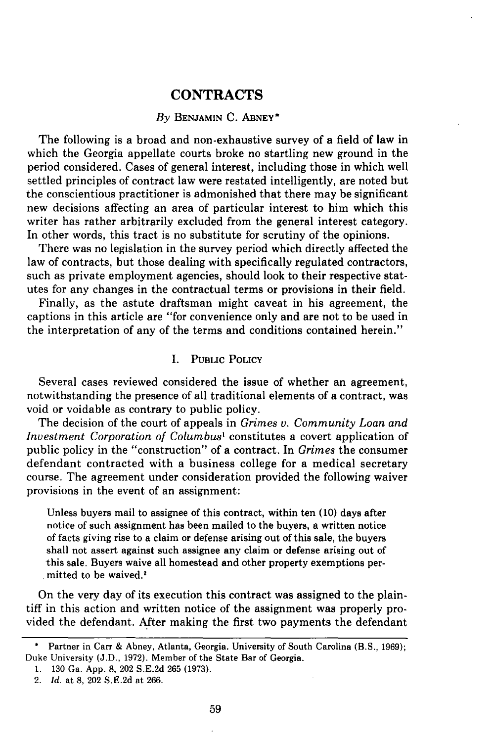# **CONTRACTS**

## *By* **BENJAMIN C. ABNEY\***

The following is a broad and non-exhaustive survey of a field of law in which the Georgia appellate courts broke no startling new ground in the period considered. Cases of general interest, including those in which well settled principles of contract law were restated intelligently, are noted but the conscientious practitioner is admonished that there may be significant new decisions affecting an area of particular interest to him which this writer has rather arbitrarily excluded from the general interest category. In other words, this tract is no substitute for scrutiny of the opinions.

There was no legislation in the survey period which directly affected the law of contracts, but those dealing with specifically regulated contractors, such as private employment agencies, should look to their respective statutes for any changes in the contractual terms or provisions in their field.

Finally, as the astute draftsman might caveat in his agreement, the captions in this article are "for convenience only and are not to be used in the interpretation of any of the terms and conditions contained herein."

## I. PUBLIC POLICY

Several cases reviewed considered the issue of whether an agreement, notwithstanding the presence of all traditional elements of a contract, was void or voidable as contrary to public policy.

The decision of the court of appeals in *Grimes v. Community Loan and Investment Corporation of Columbus'* constitutes a covert application of public policy in the "construction" of a contract. In *Grimes* the consumer defendant contracted with a business college for a medical secretary course. The agreement under consideration provided the following waiver provisions in the event of an assignment:

Unless buyers mail to assignee of this contract, within ten (10) days after notice of such assignment has been mailed to the buyers, a written notice of facts giving rise to a claim or defense arising out of this sale, the buyers shall not assert against such assignee any claim or defense arising out of -this sale. Buyers waive all homestead and other property exemptions permitted to be waived.<sup>2</sup>

On the very day of its execution this contract was assigned to the plaintiff in this action and written notice of the assignment was properly provided the defendant. After making the first two payments the defendant

<sup>•</sup> Partner in Carr & Abney, Atlanta, Georgia. University of South Carolina (B.S., 1969); Duke University (J.D., 1972). Member of the State Bar of Georgia.

<sup>1. 130</sup> Ga. App. 8, 202 S.E.2d 265 (1973).

<sup>2.</sup> *Id.* at 8, 202 S.E.2d at 266.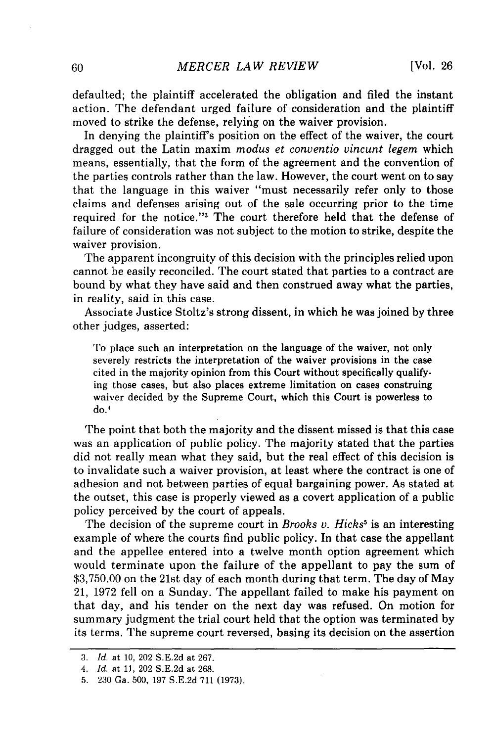defaulted; the plaintiff accelerated the obligation and filed the instant action. The defendant urged failure of consideration and the plaintiff moved to strike the defense, relying on the waiver provision.

In denying the plaintiff's position on the effect of the waiver, the court dragged out the Latin maxim *modus et conventio vincunt legem* which means, essentially, that the form of the agreement and the convention of the parties controls rather than the law. However, the court went on to say that the language in this waiver "must necessarily refer only to those claims and defenses arising out of the sale occurring prior to the time required for the notice."3 The court therefore held that the defense of failure of consideration was not subject to the motion to strike, despite the waiver provision.

The apparent incongruity of this decision with the principles relied upon cannot be easily reconciled. The court stated that parties to a contract are bound by what they have said and then construed away what the parties, in reality, said in this case.

Associate Justice Stoltz's strong dissent, in which he was joined by three other judges, asserted:

To place such an interpretation on the language of the waiver, not only severely restricts the interpretation of the waiver provisions in the case cited in the majority opinion from this Court without specifically qualifying those cases, but also places extreme limitation on cases construing waiver decided by the Supreme Court, which this Court is powerless to do.'

The point that both the majority and the dissent missed is that this case was an application of public policy. The majority stated that the parties did not really mean what they said, but the real effect of this decision is to invalidate such a waiver provision, at least where the contract is one of adhesion and not between parties of equal bargaining power. As stated at the outset, this case is properly viewed as a covert application of a public policy perceived by the court of appeals.

The decision of the supreme court in *Brooks v. Hicks<sup>5</sup>* is an interesting example of where the courts find public policy. In that case the appellant and the appellee entered into a twelve month option agreement which would terminate upon the failure of the appellant to pay the sum of \$3,750.00 on the 21st day of each month during that term. The day of May 21, 1972 fell on a Sunday. The appellant failed to make his payment on that day, and his tender on the next day was refused. On motion for summary judgment the trial court held that the option was terminated by its terms. The supreme court reversed, basing its decision on the assertion

<sup>3.</sup> *Id.* at 10, 202 S.E.2d at 267.

*<sup>4.</sup> Id.* at 11, 202 S.E.2d at 268.

<sup>5. 230</sup> Ga. 500, 197 S.E.2d 711 (1973).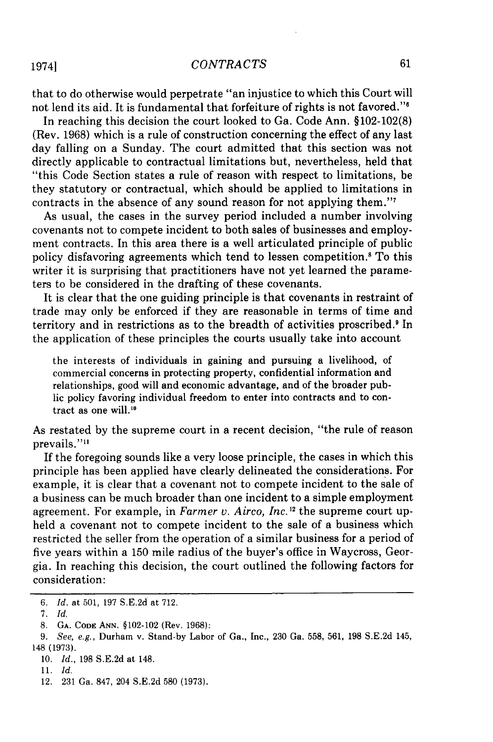### *CONTRACTS*

that to do otherwise would perpetrate "an injustice to which this Court will not lend its aid. It is fundamental that forfeiture of rights is not favored."'

In reaching this decision the court looked to Ga. Code Ann. §102-102(8) (Rev. 1968) which is a rule of construction concerning the effect of any last day falling on a Sunday. The court admitted that this section was not directly applicable to contractual limitations but, nevertheless, held that "this Code Section states a rule of reason with respect to limitations, be they statutory or contractual, which should be applied to limitations in contracts in the absence of any sound reason for not applying them."<sup>7</sup>

As usual, the cases in the survey period included a number involving covenants not to compete incident to both sales of businesses and employment contracts. In this area there is a well articulated principle of public policy disfavoring agreements which tend to lessen competition.<sup>8</sup> To this writer it is surprising that practitioners have not yet learned the parameters to be considered in the drafting of these covenants.

It is clear that the one guiding principle is that covenants in restraint of trade may only be enforced if they are reasonable in terms of time and territory and in restrictions as to the breadth of activities proscribed.<sup>9</sup> In the application of these principles the courts usually take into account

the interests of individuals in gaining and pursuing a livelihood, of commercial concerns in protecting property, confidential information and relationships, good will and economic advantage, and of the broader public policy favoring individual freedom to enter into contracts and to contract as one will.10

As restated by the supreme court in a recent decision, "the rule of reason prevails."<sup>11</sup>

If the foregoing sounds like a very loose principle, the cases in which this principle has been applied have clearly delineated the considerations. For example, it is clear that a covenant not to compete incident to the sale of a business can be much broader than one incident to a simple employment agreement. For example, in *Farmer v. Airco, Inc."1* the supreme court upheld a covenant not to compete incident to the sale of a business which restricted the seller from the operation of a similar business for a period of five years within a 150 mile radius of the buyer's office in Waycross, Georgia. In reaching this decision, the court outlined the following factors for consideration:

1974]

*<sup>6.</sup> Id.* at 501, 197 S.E.2d at 712.

**<sup>7.</sup>** *Id.*

<sup>8.</sup> GA. CODE ANN. §102-102 (Rev. 1968):

<sup>9.</sup> See, e.g., Durham v. Stand-by Labor of Ga., Inc., 230 Ga. 558, 561, 198 S.E.2d 145, 148 (1973).

<sup>10.</sup> *Id.,* 198 S.E.2d at 148.

<sup>11.</sup> *Id.*

<sup>12. 231</sup> Ga. 847, 204 S.E.2d 580 (1973).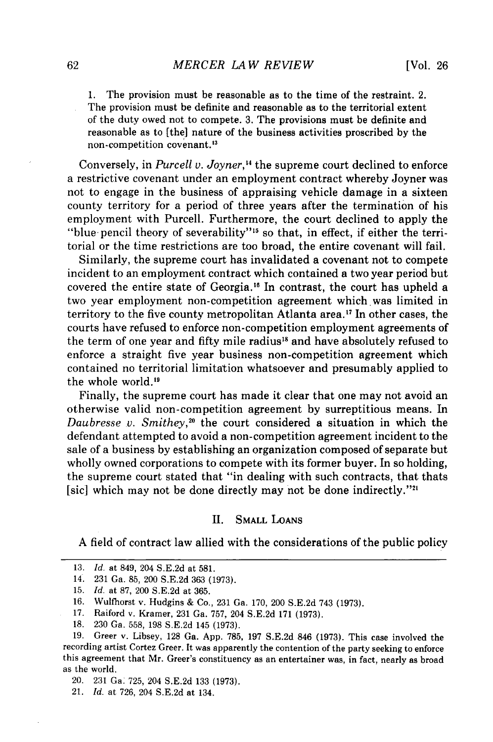1. The provision must be reasonable as to the time of the restraint. 2. The provision must be definite and reasonable as to the territorial extent of the duty owed not to compete. 3. The provisions must be definite and reasonable as to [the] nature of the business activities proscribed by the non-competition covenant.<sup>13</sup>

Conversely, in *Purcell v. Joyner*,<sup>14</sup> the supreme court declined to enforce a restrictive covenant under an employment contract whereby Joyner was not to engage in the business of appraising vehicle damage in a sixteen county territory for a period of three years after the termination of his employment with Purcell. Furthermore, the court declined to apply the "blue pencil theory of severability"<sup>15</sup> so that, in effect, if either the territorial or the time restrictions are too broad, the entire covenant will fail.

Similarly, the supreme court has invalidated a covenant not to compete incident to an employment contract which contained a two year period but covered the entire state of Georgia."6 In contrast, the court has upheld a two year employment non-competition agreement which was limited in territory to the five county metropolitan Atlanta area.<sup>17</sup> In other cases, the courts have refused to enforce non-competition employment agreements of the term of one year and fifty mile radius<sup>18</sup> and have absolutely refused to enforce a straight five year business non-competition agreement which contained no territorial limitation whatsoever and presumably applied to the whole world.<sup>19</sup>

Finally, the supreme court has made it clear that one may not avoid an otherwise valid non-competition agreement by surreptitious means. In *Daubresse v. Smithey*,<sup>20</sup> the court considered a situation in which the defendant attempted to avoid a non-competition agreement incident to the sale of a business by establishing an organization composed of separate but wholly owned corporations to compete with its former buyer. In so holding, the supreme court stated that "in dealing with such contracts, that thats [sic] which may not be done directly may not be done indirectly."<sup>21</sup>

## II. SMALL **LOANS**

A field of contract law allied with the considerations of the public policy

<sup>13.</sup> *Id.* at 849, 204 S.E.2d at 581.

<sup>14.</sup> **231** Ga. 85, 200 S.E.2d 363 (1973).

<sup>15.</sup> *Id.* at 87, 200 S.E.2d at 365.

<sup>16.</sup> Wulfhorst v. Hudgins & Co., **231** Ga. 170, 200 S.E.2d 743 (1973).

<sup>17.</sup> Raiford v. Kramer, **231** Ga. 757, 204 S.E.2d 171 **(1973).**

<sup>18. 230</sup> Ga. 558, **198** S.E.2d 145 (1973).

**<sup>19.</sup>** Greer v. Libsey, **128** Ga. App. 785, **197** S.E.2d 846 (1973). This case involved the recording artist Cortez Greer. It was apparently the contention of the party seeking to enforce this agreement that Mr. Greer's constituency as an entertainer was, in fact, nearly as broad as the world.

<sup>20. 231</sup> Ga. 725, 204 S.E.2d 133 (1973).

<sup>21.</sup> *Id.* at 726, 204 S.E.2d at 134.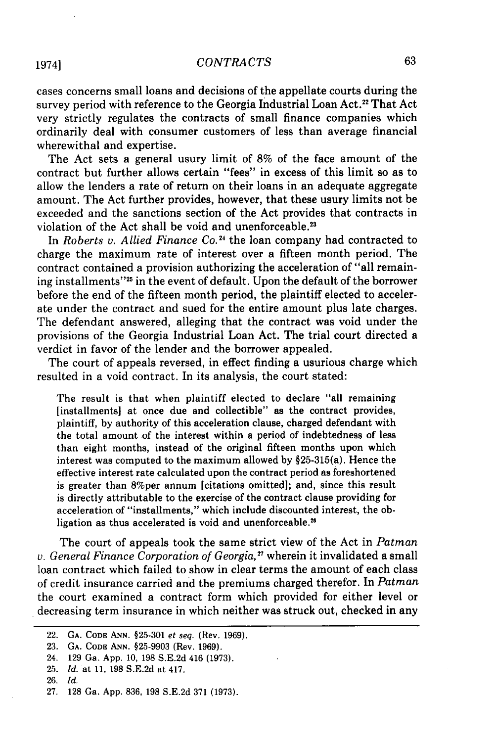#### *CONTRACTS*

cases concerns small loans and decisions of the appellate courts during the survey period with reference to the Georgia Industrial Loan Act.<sup>22</sup> That Act very strictly regulates the contracts of small finance companies which ordinarily deal with consumer customers of less than average financial wherewithal and expertise.

The Act sets a general usury limit of 8% of the face amount of the contract but further allows certain "fees" in excess of this limit so as to allow the lenders a rate of return on their loans in an adequate aggregate amount. The Act further provides, however, that these usury limits not be exceeded and the sanctions section of the Act provides that contracts in violation of the Act shall be void and unenforceable.<sup>23</sup>

In *Roberts v. Allied Finance Co.*<sup>24</sup> the loan company had contracted to charge the maximum rate of interest over a fifteen month period. The contract contained a provision authorizing the acceleration of "all remaining installments"<sup>25</sup> in the event of default. Upon the default of the borrower before the end of the fifteen month period, the plaintiff elected to accelerate under the contract and sued for the entire amount plus late charges. The defendant answered, alleging that the contract was void under the provisions of the Georgia Industrial Loan Act. The trial court directed a verdict in favor of the lender and the borrower appealed.

The court of appeals reversed, in effect finding a usurious charge which resulted in a void contract. In its analysis, the court stated:

The result is that when plaintiff elected to declare "all remaining [installments] at once due and collectible" as the contract provides, plaintiff, by authority of this acceleration clause, charged defendant with the total amount of the interest within a period of indebtedness of less than eight months, instead of the original fifteen months upon which interest was computed to the maximum allowed by §25-315(a). Hence the effective interest rate calculated upon the contract period as foreshortened is greater than 8%per annum [citations omitted]; and, since this result is directly attributable to the exercise of the contract clause providing for acceleration of "installments," which include discounted interest, the obligation as thus accelerated is void and unenforceable.<sup>26</sup>

The court of appeals took the same strict view of the Act in *Patman v. General Finance Corporation of Georgia,"* wherein it invalidated a small loan contract which failed to show in clear terms the amount of each class of credit insurance carried and the premiums charged therefor. In *Patman* the court examined a contract form which provided for either level or decreasing term insurance in which neither was struck out, checked in any

<sup>22.</sup> **GA. CODE ANN. §25-301** et seq. (Rev. 1969).

<sup>23.</sup> **GA.** CODE **ANN.** §25-9903 (Rev. 1969).

<sup>24. 129</sup> Ga. App. 10, 198 S.E.2d 416 (1973).

<sup>25.</sup> *Id.* at 11, 198 S.E.2d at 417.

<sup>26.</sup> *Id.*

<sup>27. 128</sup> Ga. App. 836, 198 S.E.2d 371 (1973).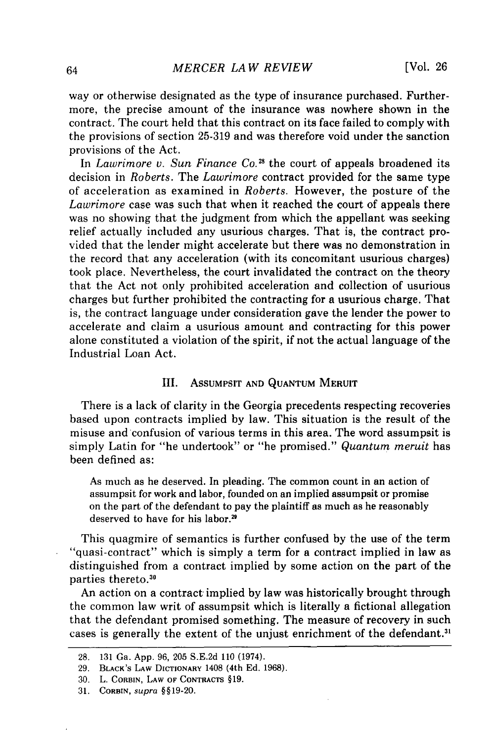way or otherwise designated as the type of insurance purchased. Furthermore, the precise amount of the insurance was nowhere shown in the contract. The court held that this contract on its face failed to comply with the provisions of section 25-319 and was therefore void under the sanction provisions of the Act.

In *Lawrimore v. Sun Finance Co."8* the court of appeals broadened its decision in *Roberts.* The *Lawrimore* contract provided for the same type of acceleration as examined in *Roberts.* However, the posture of the *Lawrimore* case was such that when it reached the court of appeals there was no showing that the judgment from which the appellant was seeking relief actually included any usurious charges. That is, the contract provided that the lender might accelerate but there was no demonstration in the record that any acceleration (with its concomitant usurious charges) took place. Nevertheless, the court invalidated the contract on the theory that the Act not only prohibited acceleration and collection of usurious charges but further prohibited the contracting for a usurious charge. That is, the contract language under consideration gave the lender the power to accelerate and claim a usurious amount and contracting for this power alone constituted a violation of the spirit, if not the actual language of the Industrial Loan Act.

#### III. AssUMPSIT **AND** QUANTUM MERUIT

There is a lack of clarity in the Georgia precedents respecting recoveries based upon contracts implied **by** law. This situation is the result of the misuse and confusion of various terms in this area. The word assumpsit is simply Latin for "he undertook" or "he promised." *Quantum meruit* has been defined as:

As much as he deserved. In pleading. The common count in an action of assumpsit for work and labor, founded on an implied assumpsit or promise on the part of the defendant to pay the plaintiff as much as he reasonably deserved to have for his labor.<sup>29</sup>

This quagmire of semantics is further confused **by** the use of the term "quasi-contract" which is simply a term for a contract implied in law as distinguished from a contract implied **by** some action on the part of the parties thereto.30

An action on a contract implied **by** law was historically brought through the common law writ of assumpsit which is literally a fictional allegation that the defendant promised something. The measure of recovery in such cases is generally the extent of the unjust enrichment of the defendant.<sup>3</sup>

**<sup>28. 131</sup>** Ga. **App. 96, 205 S.E.2d 110** (1974).

**<sup>29.</sup> BLACK'S LAW DICTIONARY** 1408 (4th **Ed. 1968).**

**<sup>30.</sup>** L. **CORBIN, LAW OF CONTRACTS §19.**

**<sup>31.</sup> CORBIN,** supra **§§19-20.**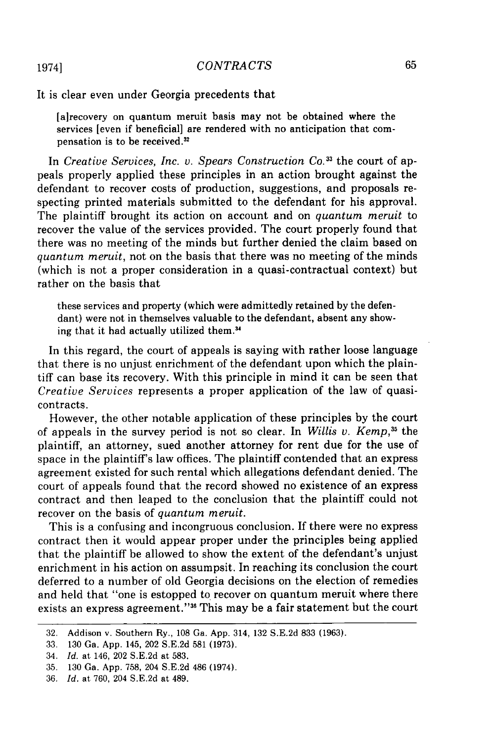It is clear even under Georgia precedents that

[a]recovery on quantum meruit basis may not be obtained where the services [even if beneficial] are rendered with no anticipation that compensation is to be received.<sup>32</sup>

In *Creative Services, Inc. v. Spears Construction Co.33* the court of appeals properly applied these principles in an action brought against the defendant to recover costs of production, suggestions, and proposals respecting printed materials submitted to the defendant for his approval. The plaintiff brought its action on account and on *quantum meruit* to recover the value of the services provided. The court properly found that there was no meeting of the minds but further denied the claim based on *quantum meruit,* not on the basis that there was no meeting of the minds (which is not a proper consideration in a quasi-contractual context) but rather on the basis that

these services and property (which were admittedly retained by the defendant) were not in themselves valuable to the defendant, absent any showing that it had actually utilized them.34

In this regard, the court of appeals is saying with rather loose language that there is no unjust enrichment of the defendant upon which the plaintiff can base its recovery. With this principle in mind it can be seen that *Creative Services* represents a proper application of the law of quasicontracts.

However, the other notable application of these principles by the court of appeals in the survey period is not so clear. In *Willis v. Kemp,35* the plaintiff, an attorney, sued another attorney for rent due for the use of space in the plaintiff's law offices. The plaintiff contended that an express agreement existed for such rental which allegations defendant denied. The court of appeals found that the record showed no existence of an express contract and then leaped to the conclusion that the plaintiff could not recover on the basis of *quantum meruit.*

This is a confusing and incongruous conclusion. If there were no express contract then it would appear proper under the principles being applied that the plaintiff be allowed to show the extent of the defendant's unjust enrichment in his action on assumpsit. In reaching its conclusion the court deferred to a number of old Georgia decisions on the election of remedies and held that "one is estopped to recover on quantum meruit where there exists an express agreement."<sup>36</sup> This may be a fair statement but the court

19741

<sup>32.</sup> Addison v. Southern Ry., 108 Ga. App. 314, 132 S.E.2d 833 (1963).

<sup>33. 130</sup> Ga. App. 145, 202 S.E.2d 581 (1973).

<sup>34.</sup> Id. at 146, 202 S.E.2d at 583.

<sup>35. 130</sup> Ga. App. 758, 204 S.E.2d 486 (1974).

<sup>36.</sup> Id. at 760, 204 S.E.2d at 489.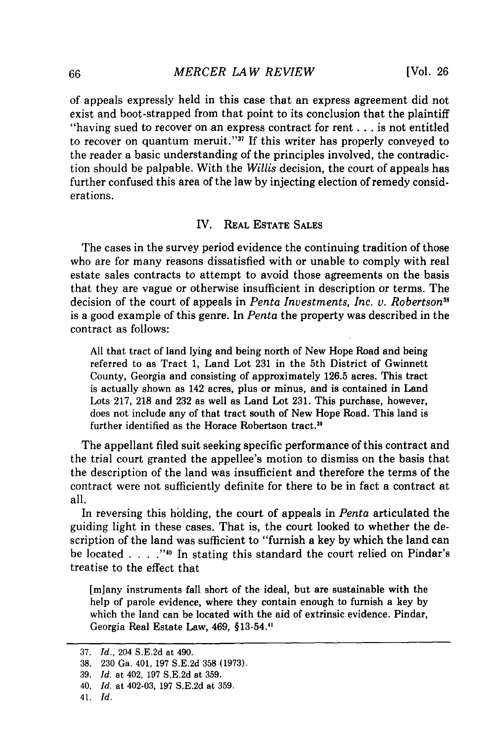of appeals expressly held in this case that an express agreement did not exist and boot-strapped from that point to its conclusion that the plaintiff "having sued to recover on an express contract for rent **...** is not entitled to recover on quantum meruit."<sup>37</sup> If this writer has properly conveyed to the reader a basic understanding of the principles involved, the contradiction should be palpable. With the *Willis* decision, the court of appeals has further confused this area of the law by injecting election of remedy considerations.

## IV. REAL **ESTATE SALES**

The cases in the survey period evidence the continuing tradition of those who are for many reasons dissatisfied with or unable to comply with real estate sales contracts to attempt to avoid those agreements on the basis that they are vague or otherwise insufficient in description or terms. The decision of the court of appeals in *Penta Investments, Inc. v. Robertson38* is a good example of this genre. In *Penta* the property was described in the contract as follows:

All that tract of land lying and being north of New Hope Road and being referred to as Tract 1, Land Lot **231** in the 5th District of Gwinnett County, Georgia and consisting of approximately 126.5 acres. This tract is actually shown as 142 acres, plus or minus, and is contained in Land Lots 217, **218** and **232** as well as Land Lot 231. This purchase, however, does not include any of that tract south of New Hope Road. This land is further identified as the Horace Robertson tract."

The appellant filed suit seeking specific performance of this contract and the trial court granted the appellee's motion to dismiss on the basis that the description of the land was insufficient and therefore the terms of the contract were not sufficiently definite for there to be in fact a contract at all.

In reversing this holding, the court of appeals in *Penta* articulated the guiding light in these cases. That is, the court looked to whether the description of the land was sufficient to "furnish a key by which the land can be located **. ".4.."10** in stating this standard the court relied on Pindar's treatise to the effect that

[miany instruments fall short of the ideal, but are sustainable with the help of parole evidence, where they contain enough to furnish a key by which the land can be located with the aid of extrinsic evidence. Pindar, Georgia Real Estate Law, 469, §13-54."

41. *Id.*

<sup>37.</sup> *Id.,* 204 S.E.2d at 490.

<sup>38. 230</sup> Ga. 401, 197 S.E.2d 358 (1973).

<sup>39.</sup> *Id.* at 402, 197 S.E.2d at 359.

<sup>40.</sup> *Id.* at 402-03, 197 S.E.2d at 359.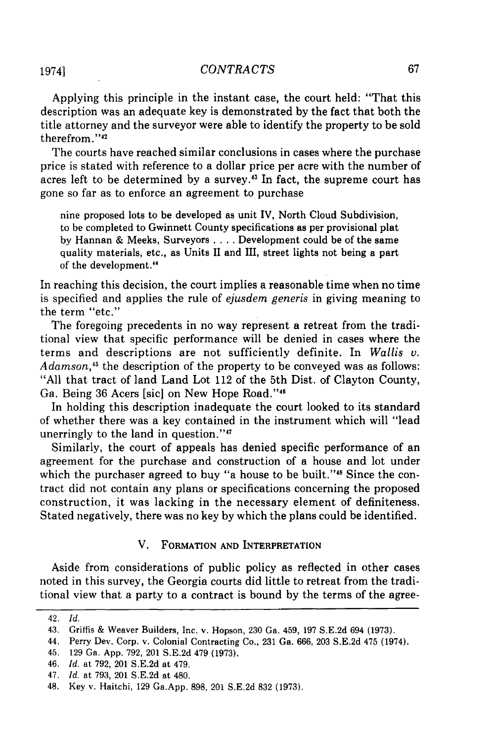### *CONTRA CTS*

Applying this principle in the instant case, the court held: "That this description was an adequate key is demonstrated by the fact that both the title attorney and the surveyor were able to identify the property to be sold therefrom."<sup>42</sup>

The courts have reached similar conclusions in cases where the purchase price is stated with reference to a dollar price per acre with the number of acres left to be determined by a survey.43 In fact, the supreme court has gone so far as to enforce an agreement to purchase

nine proposed lots to be developed as unit IV, North Cloud Subdivision, to be completed to Gwinnett County specifications as per provisional plat by Hannan & Meeks, Surveyors .... Development could be of the same quality materials, etc., as Units II and III, street lights not being a part of the development.<sup>44</sup>

In reaching this decision, the court implies a reasonable time when no time is specified and applies the rule of *ejusdem generis* in giving meaning to the term "etc."

The foregoing precedents in no way represent a retreat from the traditional view that specific performance will be denied in cases where the terms and descriptions are not sufficiently definite. In *Wallis v. Adamson,45* the description of the property to be conveyed was as follows: "All that tract of land Land Lot 112 of the 5th Dist. of Clayton County, Ga. Being 36 Acers [sic] on New Hope Road."<sup>46</sup>

In holding this description inadequate the court looked to its standard of whether there was a key contained in the instrument which will "lead unerringly to the land in question."47

Similarly, the court of appeals has denied specific performance of an agreement for the purchase and construction of a house and lot under which the purchaser agreed to buy "a house to be built."<sup>48</sup> Since the contract did not contain any plans or specifications concerning the proposed construction, it was lacking in the necessary element of definiteness. Stated negatively, there was no key by which the plans could be identified.

### V. FORMATION **AND** INTERPRETATION

Aside from considerations of public policy as reflected in other cases noted in this survey, the Georgia courts did little to retreat from the traditional view that a party to a contract is bound by the terms of the agree-

46. *Id.* at 792, 201 S.E.2d at 479.

<sup>42.</sup> *Id.*

<sup>43.</sup> Griffis & Weaver Builders, Inc. v. Hopson, 230 Ga. 459, 197 S.E.2d 694 (1973).

<sup>44.</sup> Perry Dev. Corp. v. Colonial Contracting Co., 231 Ga. 666, 203 S.E.2d 475 (1974).

<sup>45. 129</sup> Ga. App. 792, 201 S.E.2d 479 (1973).

<sup>47.</sup> *Id.* at 793, 201 S.E.2d at 480.

<sup>48.</sup> Key v. Haitchi, 129 Ga.App. 898, 201 S.E.2d 832 (1973).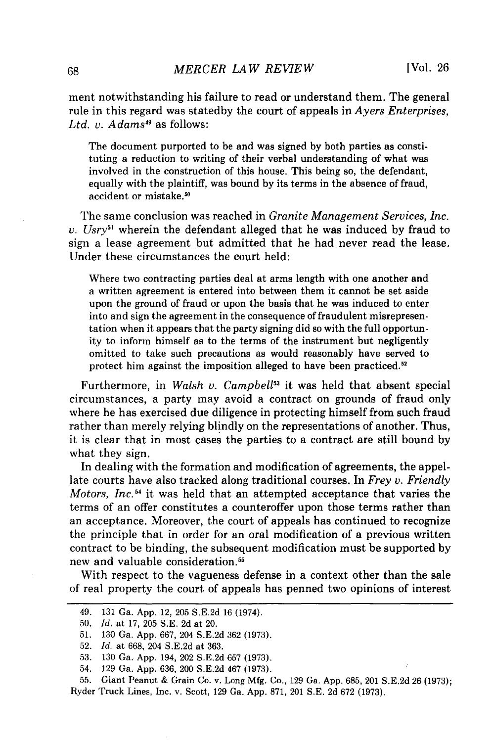ment notwithstanding his failure to read or understand them. The general rule in this regard was statedby the court of appeals in *Ayers Enterprises, Ltd. v. Adams49* as follows:

The document purported to be and was signed by both parties as constituting a reduction to writing of their verbal understanding of what was involved in the construction of this house. This being so, the defendant, equally with the plaintiff, was bound by its terms in the absence of fraud, accident or mistake.<sup>50</sup>

The same conclusion was reached in *Granite Management Services, Inc. v. Usry51* wherein the defendant alleged that he was induced by fraud to sign a lease agreement but admitted that he had never read the lease. Under these circumstances the court held:

Where two contracting parties deal at arms length with one another and a written agreement is entered into between them it cannot be set aside upon the ground of fraud or upon the basis that he was induced to enter into and sign the agreement in the consequence of fraudulent misrepresentation when it appears that the party signing did so with the full opportunity to inform himself as to the terms of the instrument but negligently omitted to take such precautions as would reasonably have served to protect him against the imposition alleged to have been practiced.<sup>52</sup>

Furthermore, in *Walsh v. Campbell<sup>53</sup>* it was held that absent special circumstances, a party may avoid a contract on grounds of fraud only where he has exercised due diligence in protecting himself from such fraud rather than merely relying blindly on the representations of another. Thus, it is clear that in most cases the parties to a contract are still bound by what they sign.

In dealing with the formation and modification of agreements, the appellate courts have also tracked along traditional courses. In *Frey v. Friendly Motors, Inc.54* it was held that an attempted acceptance that varies the terms of an offer constitutes a counteroffer upon those terms rather than an acceptance. Moreover, the court of appeals has continued to recognize the principle that in order for an oral modification of a previous written contract to be binding, the subsequent modification must be supported by new and valuable consideration.<sup>55</sup>

With respect to the vagueness defense in a context other than the sale of real property the court of appeals has penned two opinions of interest

<sup>49. 131</sup> Ga. App. 12, 205 S.E.2d 16 (1974).

<sup>50.</sup> *Id.* at 17, 205 S.E. 2d at 20.

<sup>51. 130</sup> Ga. App. 667, 204 S.E.2d 362 (1973).

<sup>52.</sup> *Id.* at 668, 204 S.E.2d at 363.

<sup>53. 130</sup> Ga. App. 194, 202 S.E.2d 657 (1973).

<sup>54. 129</sup> Ga. App. 636, 200 S.E.2d 467 (1973).

<sup>55.</sup> Giant Peanut & Grain Co. v. Long Mfg. Co., 129 Ga. App. 685, 201 S.E.2d 26 (1973); Ryder Truck Lines, Inc. v. Scott, 129 Ga. App. 871, 201 S.E. 2d 672 (1973).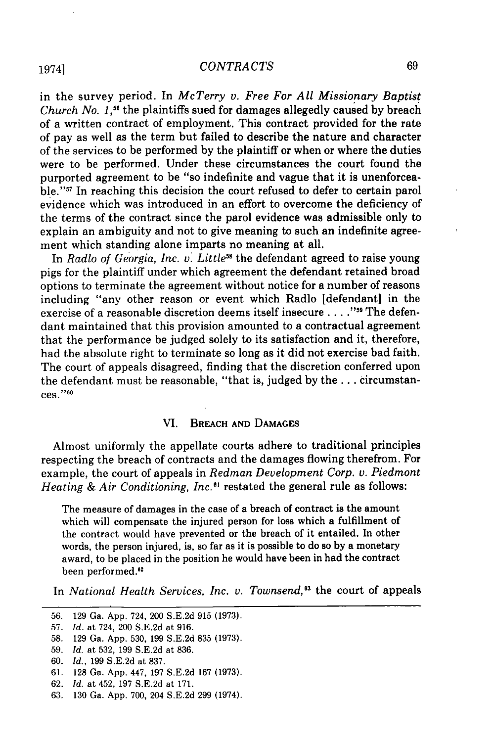## *CONTRA CTS*

in the survey period. In *McTerry v. Free For All Missionary Baptist Church No. 1.*<sup>56</sup> the plaintiffs sued for damages allegedly caused by breach of a written contract of employment. This contract provided for the rate of pay as well as the term but failed to describe the nature and character of the services to be performed by the plaintiff or when or where the duties were to be performed. Under these circumstances the court found the purported agreement to be "so indefinite and vague that it is unenforceable."<sup>57</sup> In reaching this decision the court refused to defer to certain parol evidence which was introduced in an effort to overcome the deficiency of the terms of the contract since the parol evidence was admissible only to explain an ambiguity and not to give meaning to such an indefinite agreement which standing alone imparts no meaning at all.

In *Radlo of Georgia, Inc. v. Little*<sup>58</sup> the defendant agreed to raise young pigs for the plaintiff under which agreement the defendant retained broad options to terminate the agreement without notice for a number of reasons including "any other reason or event which Radlo [defendant] in the exercise of a reasonable discretion deems itself insecure . **. . .""** The defendant maintained that this provision amounted to a contractual agreement that the performance be judged solely to its satisfaction and it, therefore, had the absolute right to terminate so long as it did not exercise bad faith. The court of appeals disagreed, finding that the discretion conferred upon the defendant must be reasonable, "that is, judged by the... circumstances." <sup>60</sup>

### VI. BREACH **AND DAMAGES**

Almost uniformly the appellate courts adhere to traditional principles respecting the breach of contracts and the damages flowing therefrom. For example, the court of appeals in *Redman Development Corp. v. Piedmont Heating & Air Conditioning, Inc.6t* restated the general rule as follows:

The measure of damages in the case of a breach of contract is the amount which will compensate the injured person for loss which a fulfillment of the contract would have prevented or the breach of it entailed. In other words, the person injured, is, so far as it is possible to do so **by** a monetary award, to be placed in the position he would have been in had the contract been performed.<sup>62</sup>

In *National Health Services, Inc. v. Townsend*,<sup>83</sup> the court of appeals

**<sup>56. 129</sup>** Ga. **App.** 724, 200 **S.E.2d 915 (1973).**

**<sup>57.</sup> Id.** at 724, 200 **S.E.2d** at **916.**

**<sup>58. 129</sup>** Ga. **App. 530, 199 S.E.2d 835 (1973).**

**<sup>59.</sup>** Id. at **532, 199 S.E.2d** at **836.**

**<sup>60.</sup>** Id., **199 S.E.2d** at **837.**

**<sup>61. 128</sup>** Ga. **App.** 447, **197 S.E.2d 167 (1973).**

**<sup>62.</sup>** Id. at 452, **197 S.E.2d** at **171.**

**<sup>63. 130</sup>** Ga. **App. 700,** 204 **S.E.2d 299** (1974).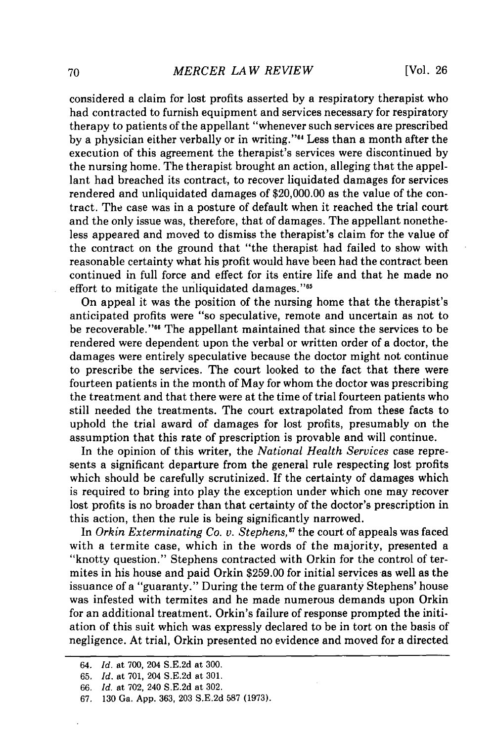considered a claim for lost profits asserted by a respiratory therapist who had contracted to furnish equipment and services necessary for respiratory therapy to patients of the appellant "whenever such services are prescribed by a physician either verbally or in writing."<sup>44</sup> Less than a month after the execution of this agreement the therapist's services were discontinued by the nursing home. The therapist brought an action, alleging that the appellant had breached its contract, to recover liquidated damages for services rendered and unliquidated damages of \$20,000.00 as the value of the contract. The case was in a posture of default when it reached the trial court and the only issue was, therefore, that of damages. The appellant nonetheless appeared and moved to dismiss the therapist's claim for the value of the contract on the ground that "the therapist had failed to show with reasonable certainty what his profit would have been had the contract been continued in full force and effect for its entire life and that he made no effort to mitigate the unliquidated damages."<sup>65</sup>

On appeal it was the position of the nursing home that the therapist's anticipated profits were "so speculative, remote and uncertain as not to be recoverable."<sup>66</sup> The appellant maintained that since the services to be rendered were dependent upon the verbal or written order of a doctor, the damages were entirely speculative because the doctor might not continue to prescribe the services. The court looked to the fact that there were fourteen patients in the month of May for whom the doctor was prescribing the treatment and that there were at the time of trial fourteen patients who still needed the treatments. The court extrapolated from these facts to uphold the trial award of damages for lost profits, presumably on the assumption that this rate of prescription is provable and will continue.

In the opinion of this writer, the *National Health Services* case represents a significant departure from the general rule respecting lost profits which should be carefully scrutinized. If the certainty of damages which is required to bring into play the exception under which one may recover lost profits is no broader than that certainty of the doctor's prescription in this action, then the rule is being significantly narrowed.

In *Orkin Exterminating Co. v. Stephens*,<sup>67</sup> the court of appeals was faced with a termite case, which in the words of the majority, presented a "knotty question." Stephens contracted with Orkin for the control of termites in his house and paid Orkin \$259.00 for initial services as well as the issuance of a "guaranty." During the term of the guaranty Stephens' house was infested with termites and he made numerous demands upon Orkin for an additional treatment. Orkin's failure of response prompted the initiation of this suit which was expressly declared to be in tort on the basis of negligence. At trial, Orkin presented no evidence and moved for a directed

<sup>64.</sup> *Id.* at 700, 204 S.E.2d at 300.

<sup>65.</sup> *Id.* at 701, 204 S.E.2d at 301.

**<sup>66.</sup>** *Id.* at 702, 240 S.E.2d at 302.

<sup>67. 130</sup> Ga. App. 363, 203 S.E.2d 587 (1973).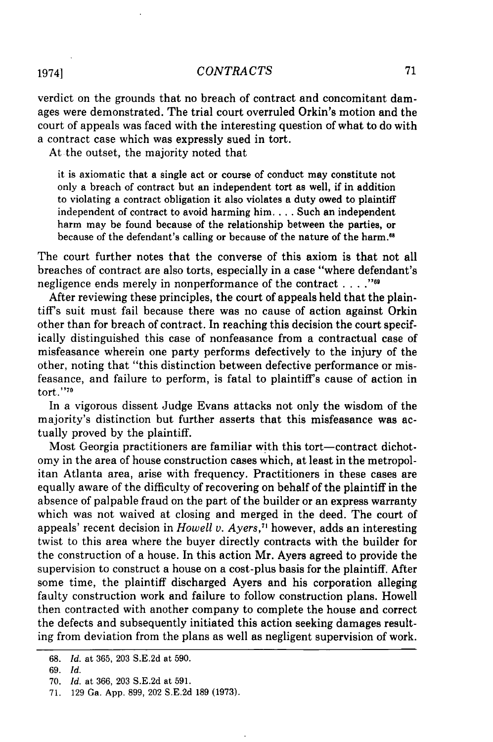verdict on the grounds that no breach of contract and concomitant damages were demonstrated. The trial court overruled Orkin's motion and the court of appeals was faced with the interesting question of what to do with a contract case which was expressly sued in tort.

At the outset, the majority noted that

it is axiomatic that a single act or course of conduct may constitute not only a breach of contract but an independent tort as well, if in addition to violating a contract obligation it also violates a duty owed to plaintiff independent of contract to avoid harming him **....** Such an independent harm may be found because of the relationship between the parties, or because of the defendant's calling or because of the nature of the harm.<sup>68</sup>

The court further notes that the converse of this axiom is that not all breaches of contract are also torts, especially in a case "where defendant's negligence ends merely in nonperformance of the contract . **...""**

After reviewing these principles, the court of appeals held that the plaintiff's suit must fail because there was no cause of action against Orkin other than for breach of contract. In reaching this decision the court specifically distinguished this case of nonfeasance from a contractual case of misfeasance wherein one party performs defectively to the injury of the other, noting that "this distinction between defective performance or misfeasance, and failure to perform, is fatal to plaintiff's cause of action in  $tort.$ "<sup>70</sup>

In a vigorous dissent Judge Evans attacks not only the wisdom of the majority's distinction but further asserts that this misfeasance was actually proved **by** the plaintiff.

Most Georgia practitioners are familiar with this tort-contract dichotomy in the area of house construction cases which, at least in the metropolitan Atlanta area, arise with frequency. Practitioners in these cases are equally aware of the difficulty of recovering on behalf of the plaintiff in the absence of palpable fraud on the part of the builder or an express warranty which was not waived at closing and merged in the deed. The court of appeals' recent decision in *Howell v. Ayers,7* however, adds an interesting twist to this area where the buyer directly contracts with the builder for the construction of a house. In this action Mr. Ayers agreed to provide the supervision to construct a house on a cost-plus basis for the plaintiff. **After** some time, the plaintiff discharged Ayers and his corporation alleging faulty construction work and failure to follow construction plans. Howell then contracted with another company to complete the house and correct the defects and subsequently initiated this action seeking damages resulting from deviation from the plans as well as negligent supervision of work.

<sup>68.</sup> *Id.* at 365, 203 S.E.2d at 590.

<sup>69.</sup> *Id.*

<sup>70.</sup> *Id.* at 366, 203 S.E.2d at 591.

<sup>71. 129</sup> Ga. App. 899, 202 S.E.2d 189 (1973).